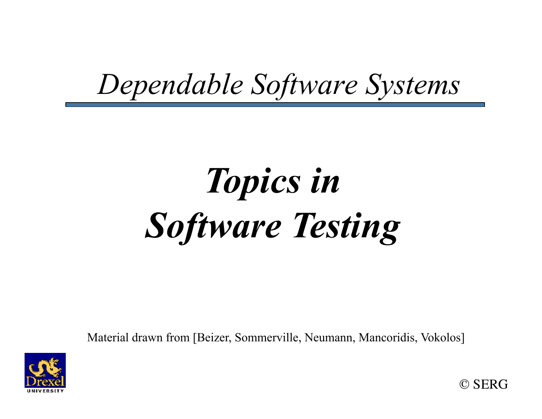#### *Dependable Software Systems*

# *Topics in Software Testing*

Material drawn from [Beizer, Sommerville, Neumann, Mancoridis, Vokolos]



© SERG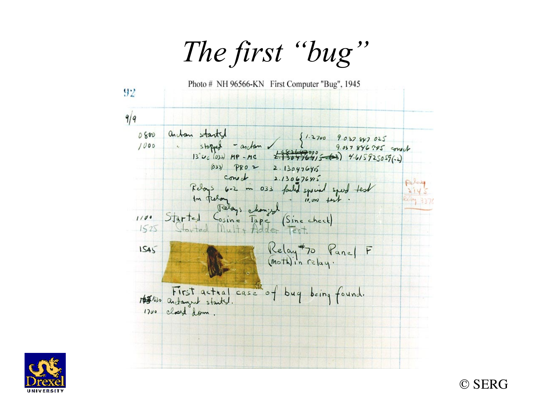*The first "bug"* 





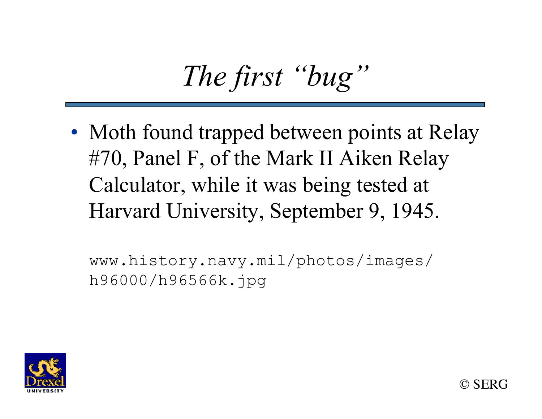# *The first "bug"*

• Moth found trapped between points at Relay #70, Panel F, of the Mark II Aiken Relay Calculator, while it was being tested at Harvard University, September 9, 1945.

www.history.navy.mil/photos/images/ h96000/h96566k.jpg

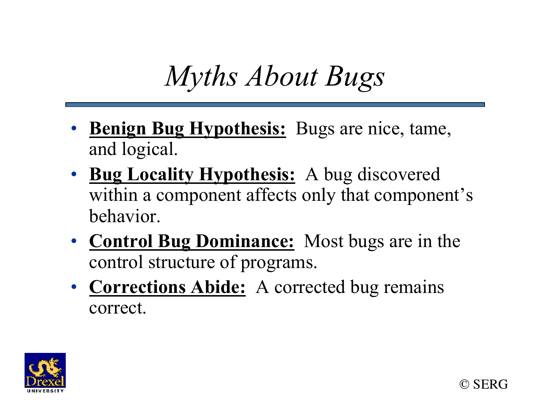### *Myths About Bugs*

- **Benign Bug Hypothesis:** Bugs are nice, tame, and logical.
- **Bug Locality Hypothesis:** A bug discovered within a component affects only that component's behavior.
- **Control Bug Dominance:** Most bugs are in the control structure of programs.
- **Corrections Abide:** A corrected bug remains correct.

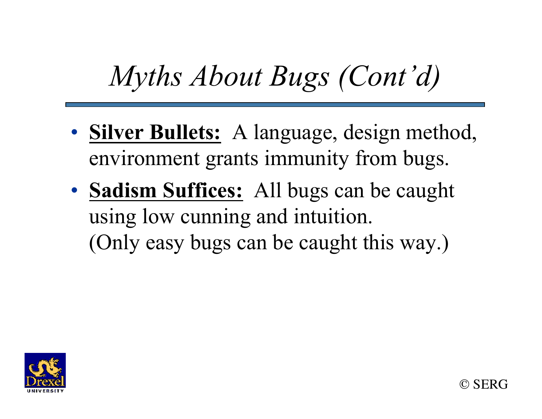### *Myths About Bugs (Cont'd)*

- **Silver Bullets:** A language, design method, environment grants immunity from bugs.
- **Sadism Suffices:** All bugs can be caught using low cunning and intuition. (Only easy bugs can be caught this way.)

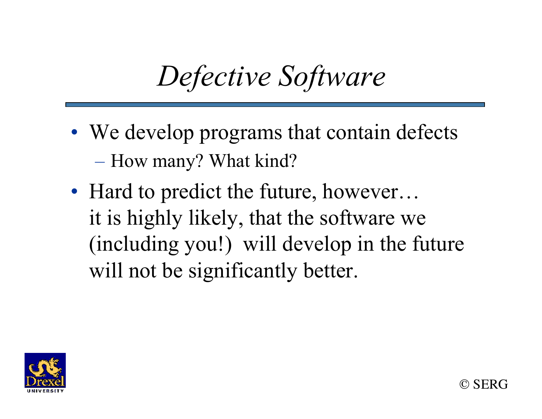### *Defective Software*

- We develop programs that contain defects – How many? What kind?
- Hard to predict the future, however... it is highly likely, that the software we (including you!) will develop in the future will not be significantly better.

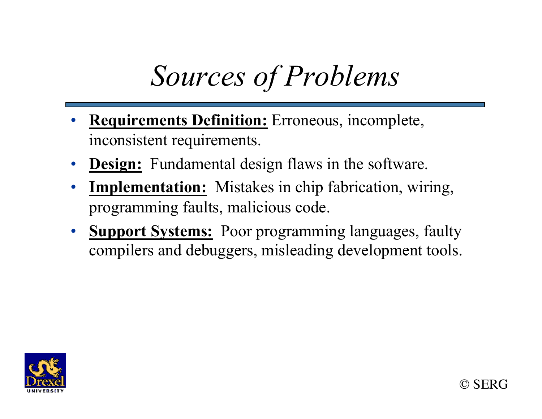# *Sources of Problems*

- **Requirements Definition:** Erroneous, incomplete, inconsistent requirements.
- **Design:** Fundamental design flaws in the software.
- **Implementation:** Mistakes in chip fabrication, wiring, programming faults, malicious code.
- **Support Systems:** Poor programming languages, faulty compilers and debuggers, misleading development tools.

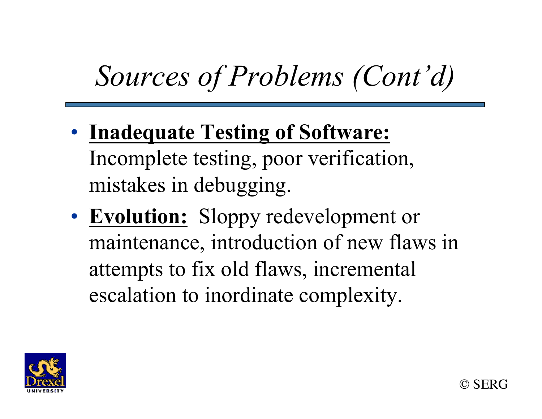# *Sources of Problems (Cont'd)*

- **Inadequate Testing of Software:** Incomplete testing, poor verification, mistakes in debugging.
- **Evolution:** Sloppy redevelopment or maintenance, introduction of new flaws in attempts to fix old flaws, incremental escalation to inordinate complexity.

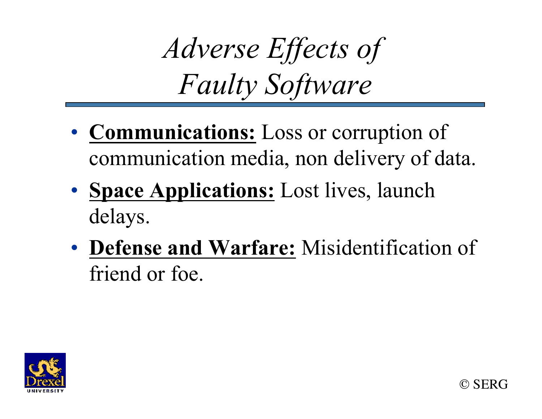*Adverse Effects of Faulty Software* 

- **Communications:** Loss or corruption of communication media, non delivery of data.
- **Space Applications:** Lost lives, launch delays.
- **Defense and Warfare:** Misidentification of friend or foe.



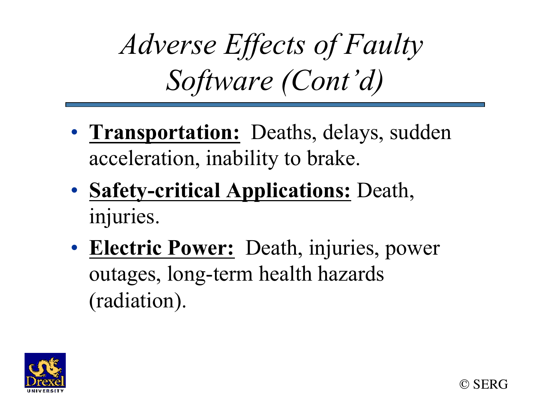*Adverse Effects of Faulty Software (Cont'd)* 

- **Transportation:** Deaths, delays, sudden acceleration, inability to brake.
- **Safety-critical Applications:** Death, injuries.
- **Electric Power:** Death, injuries, power outages, long-term health hazards (radiation).

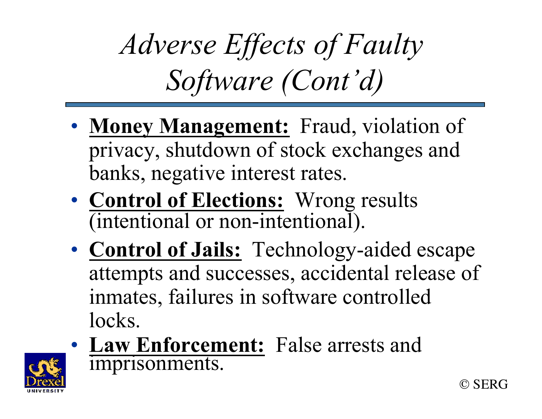# *Adverse Effects of Faulty Software (Cont'd)*

- **Money Management:** Fraud, violation of privacy, shutdown of stock exchanges and banks, negative interest rates.
- **Control of Elections:** Wrong results (intentional or non-intentional).
- **Control of Jails:** Technology-aided escape attempts and successes, accidental release of inmates, failures in software controlled locks.
- **Law Enforcement:** False arrests and imprisonments.

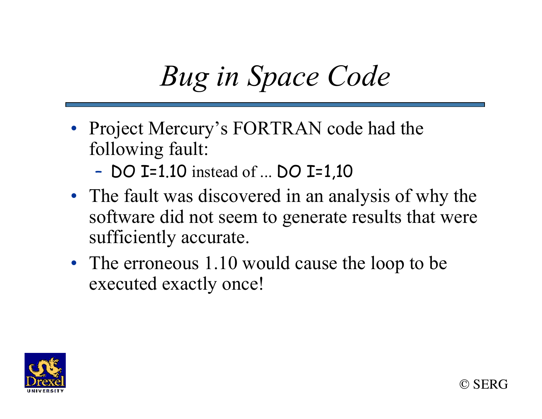## *Bug in Space Code*

- Project Mercury's FORTRAN code had the following fault:
	- DO I=1.10 instead of ... DO I=1,10
- The fault was discovered in an analysis of why the software did not seem to generate results that were sufficiently accurate.
- The erroneous 1.10 would cause the loop to be executed exactly once!

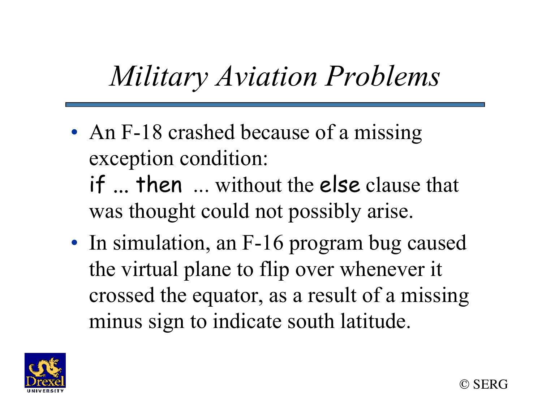### *Military Aviation Problems*

• An F-18 crashed because of a missing exception condition:

if ... then ... without the else clause that was thought could not possibly arise.

• In simulation, an F-16 program bug caused the virtual plane to flip over whenever it crossed the equator, as a result of a missing minus sign to indicate south latitude.

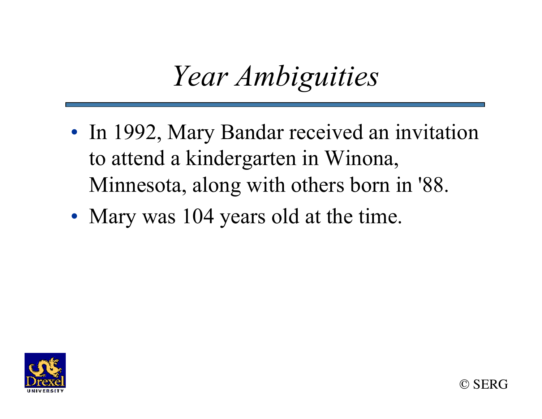#### *Year Ambiguities*

- In 1992, Mary Bandar received an invitation to attend a kindergarten in Winona, Minnesota, along with others born in '88.
- Mary was 104 years old at the time.



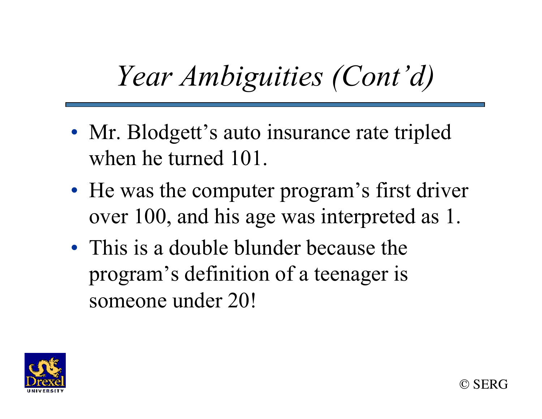## *Year Ambiguities (Cont'd)*

- Mr. Blodgett's auto insurance rate tripled when he turned 101.
- He was the computer program's first driver over 100, and his age was interpreted as 1.
- This is a double blunder because the program's definition of a teenager is someone under 20!

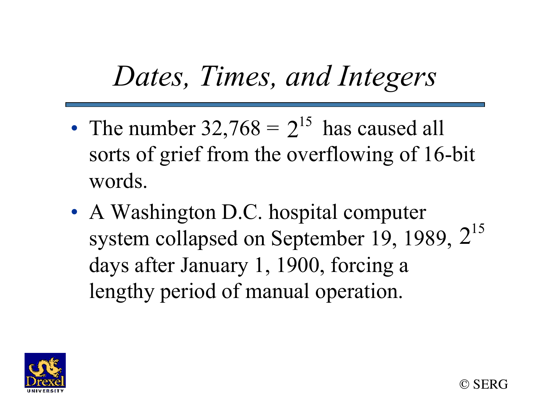### *Dates, Times, and Integers*

- The number  $32,768 = 2^{15}$  has caused all sorts of grief from the overflowing of 16-bit words.
- A Washington D.C. hospital computer system collapsed on September 19, 1989,  $2^{15}$ days after January 1, 1900, forcing a lengthy period of manual operation.

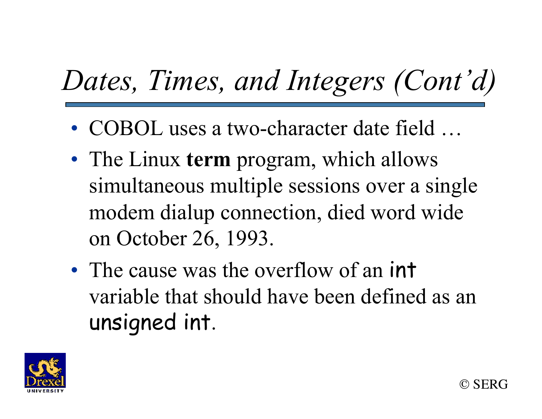# *Dates, Times, and Integers (Cont'd)*

- COBOL uses a two-character date field ...
- The Linux **term** program, which allows simultaneous multiple sessions over a single modem dialup connection, died word wide on October 26, 1993.
- The cause was the overflow of an int variable that should have been defined as an unsigned int.

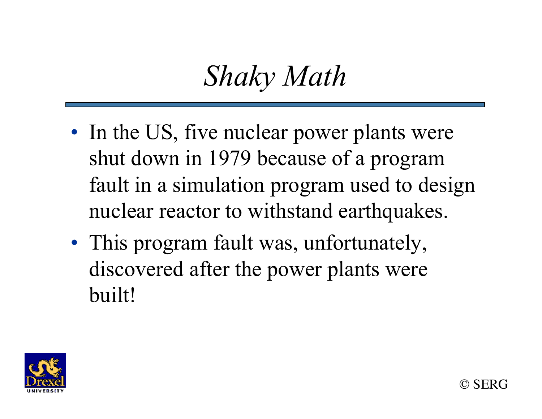#### *Shaky Math*

- In the US, five nuclear power plants were shut down in 1979 because of a program fault in a simulation program used to design nuclear reactor to withstand earthquakes.
- This program fault was, unfortunately, discovered after the power plants were built!

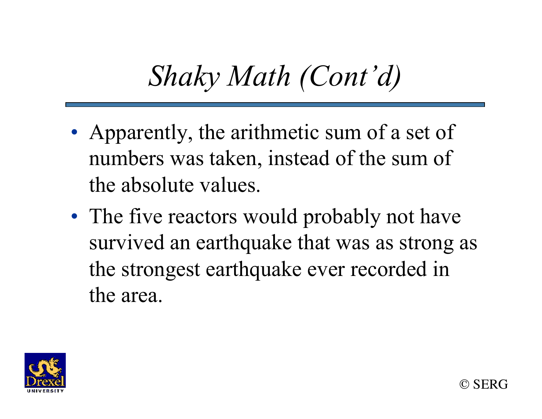### *Shaky Math (Cont'd)*

- Apparently, the arithmetic sum of a set of numbers was taken, instead of the sum of the absolute values.
- The five reactors would probably not have survived an earthquake that was as strong as the strongest earthquake ever recorded in the area.

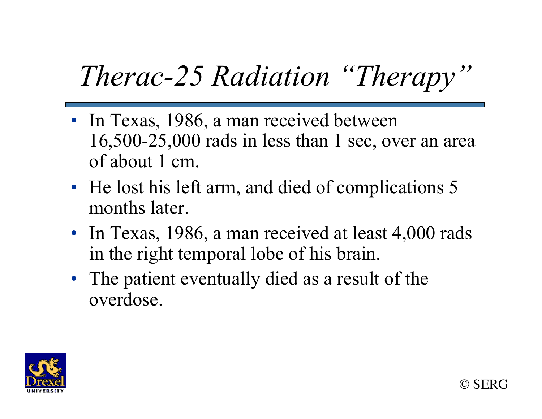# *Therac-25 Radiation "Therapy"*

- In Texas, 1986, a man received between 16,500-25,000 rads in less than 1 sec, over an area of about 1 cm.
- He lost his left arm, and died of complications 5 months later.
- In Texas, 1986, a man received at least 4,000 rads in the right temporal lobe of his brain.
- The patient eventually died as a result of the overdose.

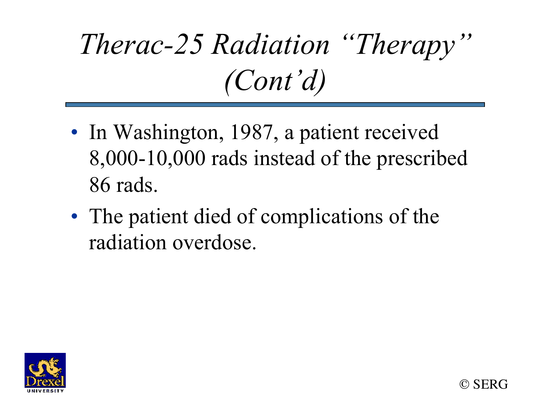# *Therac-25 Radiation "Therapy" (Cont'd)*

- In Washington, 1987, a patient received 8,000-10,000 rads instead of the prescribed 86 rads.
- The patient died of complications of the radiation overdose.



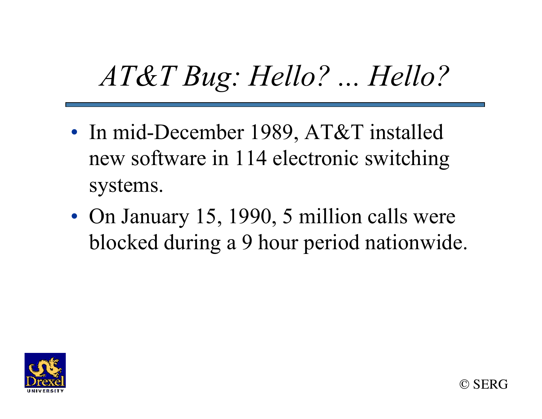### *AT&T Bug: Hello? ... Hello?*

- In mid-December 1989, AT&T installed new software in 114 electronic switching systems.
- On January 15, 1990, 5 million calls were blocked during a 9 hour period nationwide.



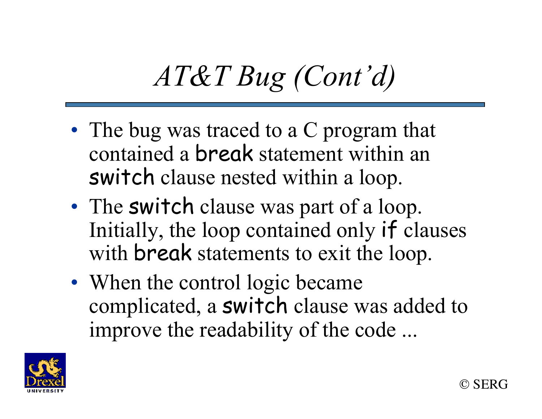# *AT&T Bug (Cont'd)*

- The bug was traced to a C program that contained a break statement within an switch clause nested within a loop.
- The switch clause was part of a loop. Initially, the loop contained only if clauses with **break** statements to exit the loop.
- When the control logic became complicated, a switch clause was added to improve the readability of the code ...

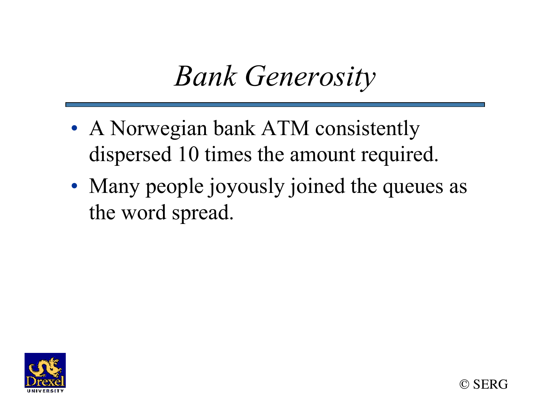#### *Bank Generosity*

- A Norwegian bank ATM consistently dispersed 10 times the amount required.
- Many people joyously joined the queues as the word spread.



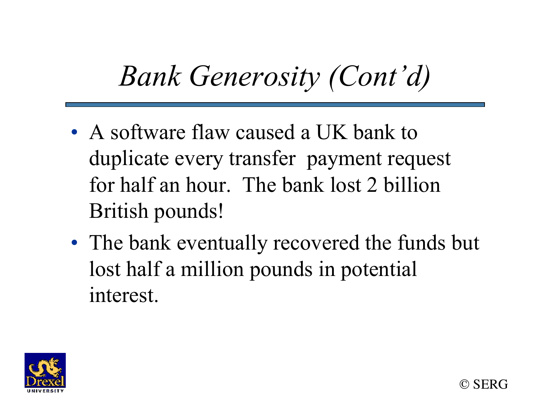### *Bank Generosity (Cont'd)*

- A software flaw caused a UK bank to duplicate every transfer payment request for half an hour. The bank lost 2 billion British pounds!
- The bank eventually recovered the funds but lost half a million pounds in potential interest.

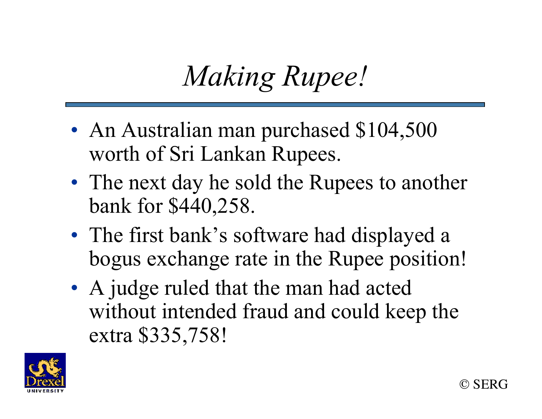## *Making Rupee!*

- An Australian man purchased \$104,500 worth of Sri Lankan Rupees.
- The next day he sold the Rupees to another bank for \$440,258.
- The first bank's software had displayed a bogus exchange rate in the Rupee position!
- A judge ruled that the man had acted without intended fraud and could keep the extra \$335,758!

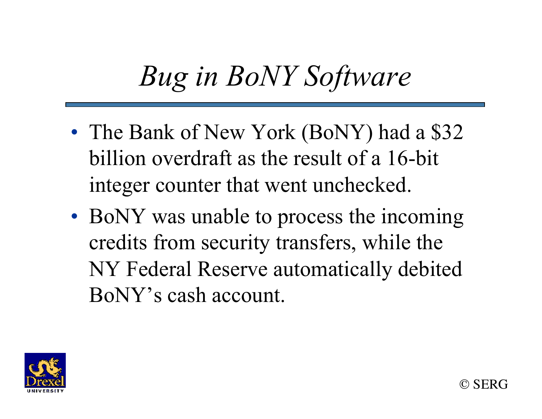### *Bug in BoNY Software*

- The Bank of New York (BoNY) had a \$32 billion overdraft as the result of a 16-bit integer counter that went unchecked.
- BoNY was unable to process the incoming credits from security transfers, while the NY Federal Reserve automatically debited BoNY's cash account.

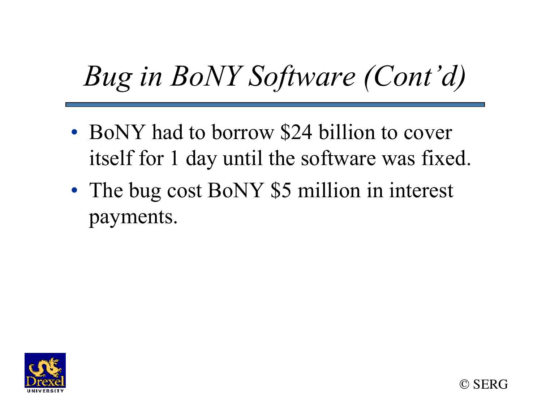# *Bug in BoNY Software (Cont'd)*

- BoNY had to borrow \$24 billion to cover itself for 1 day until the software was fixed.
- The bug cost BoNY \$5 million in interest payments.



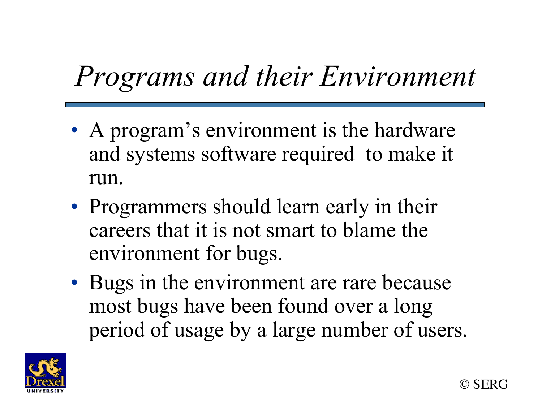### *Programs and their Environment*

- A program's environment is the hardware and systems software required to make it run.
- Programmers should learn early in their careers that it is not smart to blame the environment for bugs.
- Bugs in the environment are rare because most bugs have been found over a long period of usage by a large number of users.

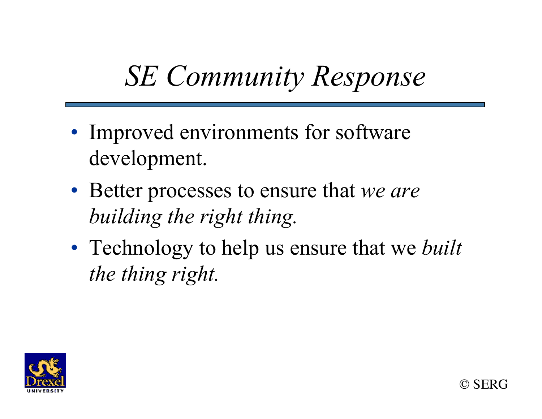### *SE Community Response*

- Improved environments for software development.
- Better processes to ensure that *we are building the right thing.*
- Technology to help us ensure that we *built the thing right.*

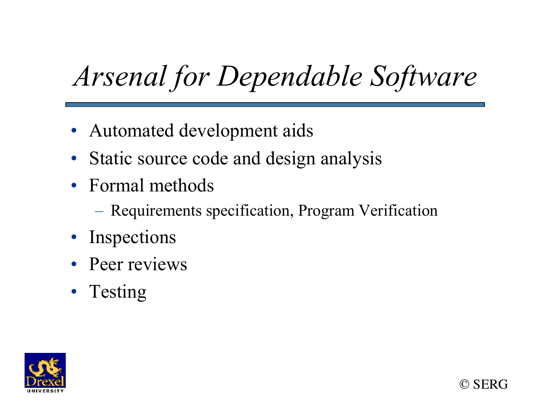# *Arsenal for Dependable Software*

- Automated development aids
- Static source code and design analysis
- Formal methods
	- Requirements specification, Program Verification
- **Inspections**
- Peer reviews
- Testing



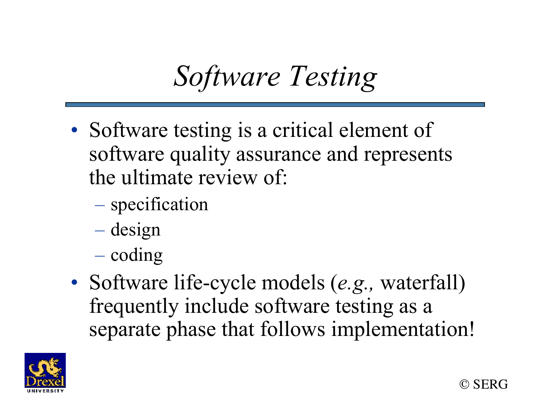# *Software Testing*

- Software testing is a critical element of software quality assurance and represents the ultimate review of:
	- specification
	- design
	- coding
- Software life-cycle models (*e.g.,* waterfall) frequently include software testing as a separate phase that follows implementation!

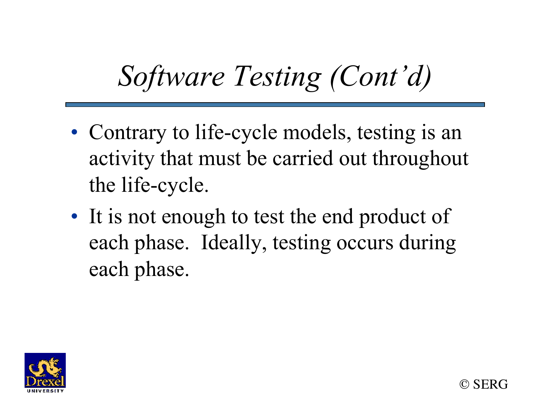# *Software Testing (Cont'd)*

- Contrary to life-cycle models, testing is an activity that must be carried out throughout the life-cycle.
- It is not enough to test the end product of each phase. Ideally, testing occurs during each phase.

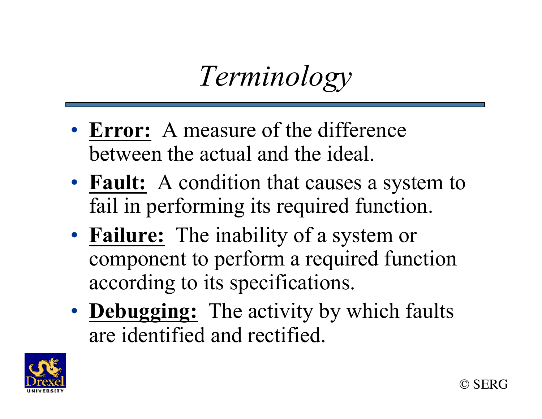*Terminology* 

- **Error:** A measure of the difference between the actual and the ideal.
- **Fault:** A condition that causes a system to fail in performing its required function.
- **Failure:** The inability of a system or component to perform a required function according to its specifications.
- **Debugging:** The activity by which faults are identified and rectified.

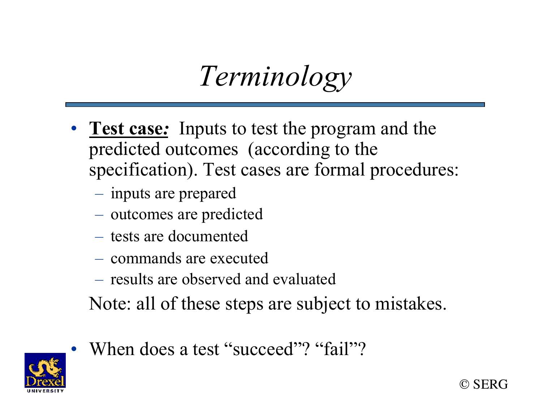*Terminology*

- **Test case***:* Inputs to test the program and the predicted outcomes (according to the specification). Test cases are formal procedures:
	- inputs are prepared
	- outcomes are predicted
	- tests are documented
	- commands are executed
	- results are observed and evaluated
	- Note: all of these steps are subject to mistakes.



When does a test "succeed"? "fail"?

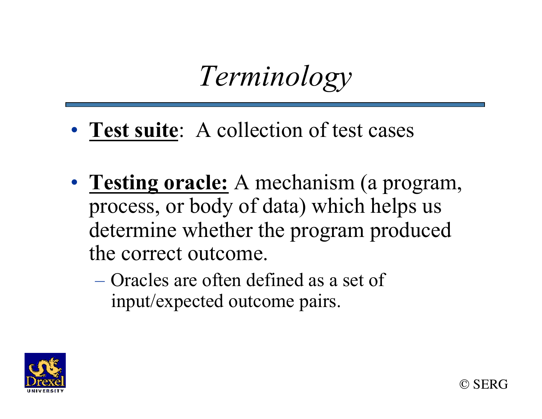*Terminology*

- **Test suite**: A collection of test cases
- **Testing oracle:** A mechanism (a program, process, or body of data) which helps us determine whether the program produced the correct outcome.
	- Oracles are often defined as a set of input/expected outcome pairs.



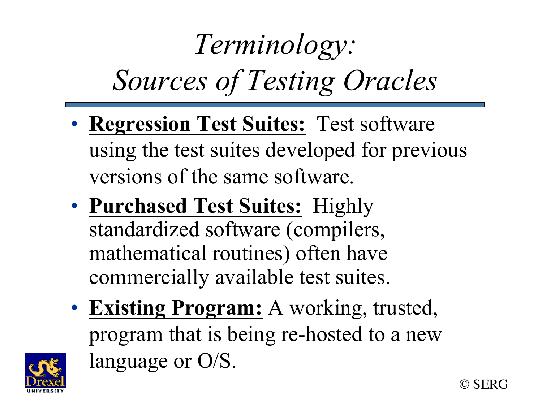# *Terminology: Sources of Testing Oracles*

- **Regression Test Suites:** Test software using the test suites developed for previous versions of the same software.
- **Purchased Test Suites:** Highly standardized software (compilers, mathematical routines) often have commercially available test suites.
- **Existing Program:** A working, trusted, program that is being re-hosted to a new language or O/S.



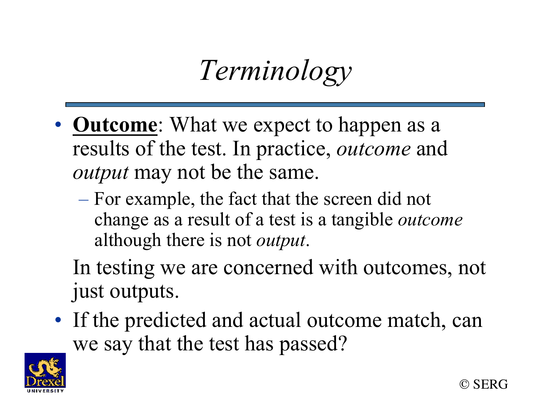*Terminology*

- **Outcome**: What we expect to happen as a results of the test. In practice, *outcome* and *output* may not be the same.
	- For example, the fact that the screen did not change as a result of a test is a tangible *outcome* although there is not *output*.

In testing we are concerned with outcomes, not just outputs.

• If the predicted and actual outcome match, can we say that the test has passed?

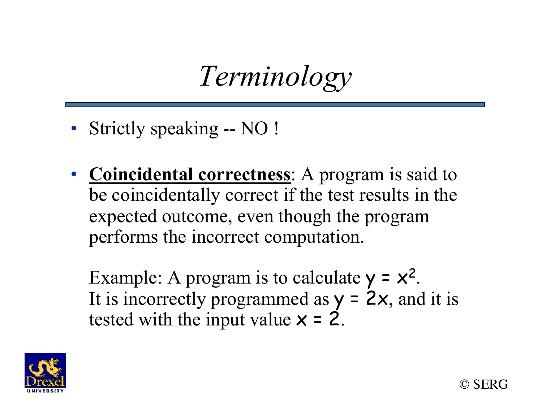*Terminology*

- Strictly speaking -- NO !
- **Coincidental correctness**: A program is said to be coincidentally correct if the test results in the expected outcome, even though the program performs the incorrect computation.

Example: A program is to calculate  $y = x^2$ . It is incorrectly programmed as  $y = 2x$ , and it is tested with the input value  $x = 2$ .



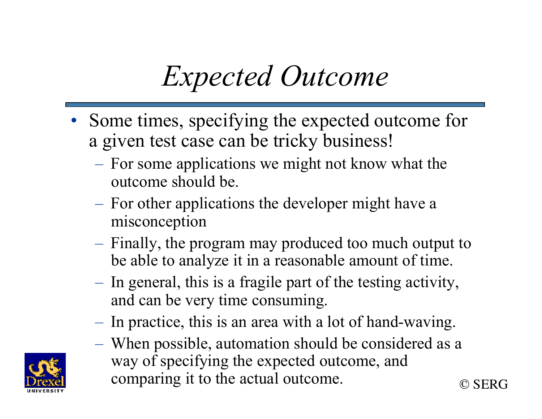# *Expected Outcome*

- Some times, specifying the expected outcome for a given test case can be tricky business!
	- For some applications we might not know what the outcome should be.
	- For other applications the developer might have a misconception
	- Finally, the program may produced too much output to be able to analyze it in a reasonable amount of time.
	- In general, this is a fragile part of the testing activity, and can be very time consuming.
	- In practice, this is an area with a lot of hand-waving.
	- © SERG – When possible, automation should be considered as a way of specifying the expected outcome, and comparing it to the actual outcome.

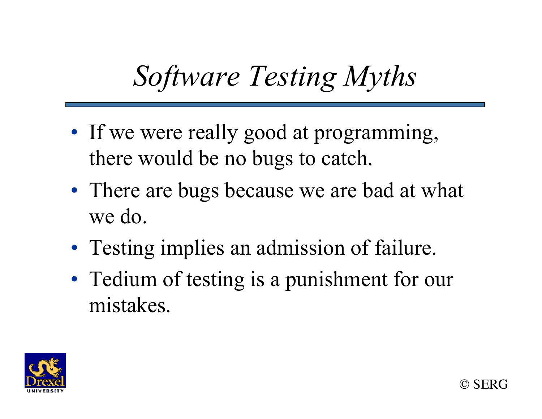# *Software Testing Myths*

- If we were really good at programming, there would be no bugs to catch.
- There are bugs because we are bad at what we do.
- Testing implies an admission of failure.
- Tedium of testing is a punishment for our mistakes.

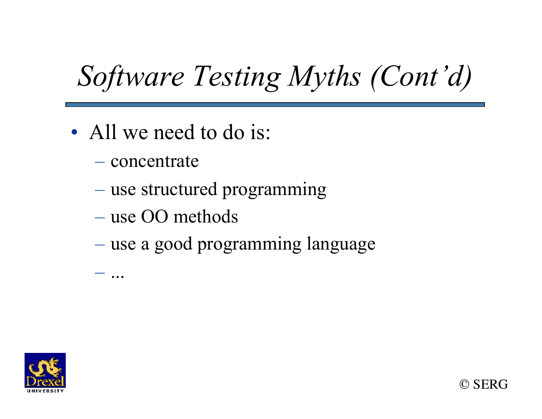# *Software Testing Myths (Cont'd)*

- All we need to do is:
	- concentrate

– ...

- use structured programming
- use OO methods
- use a good programming language

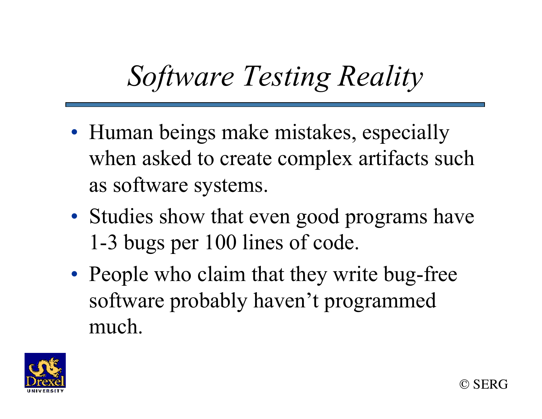# *Software Testing Reality*

- Human beings make mistakes, especially when asked to create complex artifacts such as software systems.
- Studies show that even good programs have 1-3 bugs per 100 lines of code.
- People who claim that they write bug-free software probably haven't programmed much.

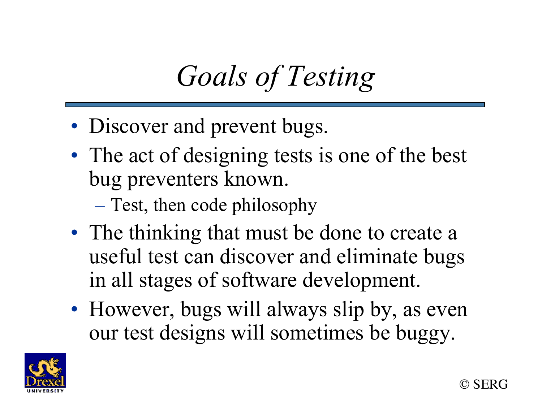# *Goals of Testing*

- Discover and prevent bugs.
- The act of designing tests is one of the best bug preventers known.
	- Test, then code philosophy
- The thinking that must be done to create a useful test can discover and eliminate bugs in all stages of software development.
- However, bugs will always slip by, as even our test designs will sometimes be buggy.

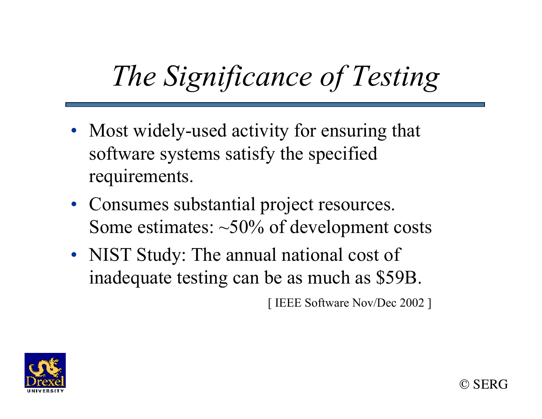# *The Significance of Testing*

- Most widely-used activity for ensuring that software systems satisfy the specified requirements.
- Consumes substantial project resources. Some estimates:  $\sim$ 50% of development costs
- NIST Study: The annual national cost of inadequate testing can be as much as \$59B.

[ IEEE Software Nov/Dec 2002 ]

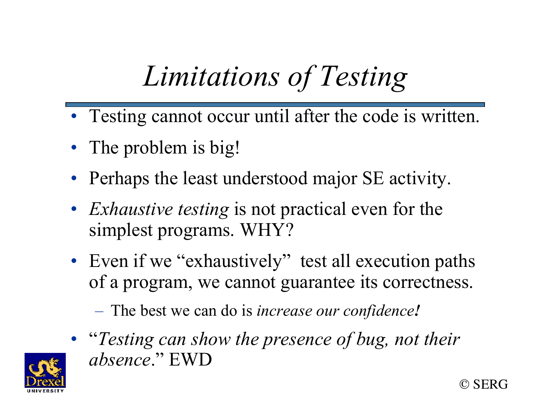# *Limitations of Testing*

- Testing cannot occur until after the code is written.
- The problem is big!
- Perhaps the least understood major SE activity.
- *Exhaustive testing* is not practical even for the simplest programs. WHY?
- Even if we "exhaustively" test all execution paths of a program, we cannot guarantee its correctness.

– The best we can do is *increase our confidence!* 

• "*Testing can show the presence of bug, not their absence*." EWD



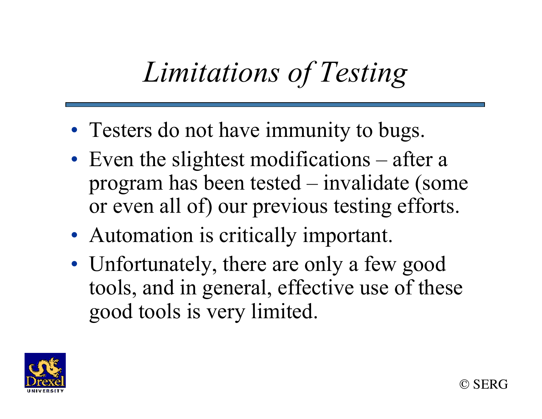## *Limitations of Testing*

- Testers do not have immunity to bugs.
- Even the slightest modifications after a program has been tested – invalidate (some or even all of) our previous testing efforts.
- Automation is critically important.
- Unfortunately, there are only a few good tools, and in general, effective use of these good tools is very limited.

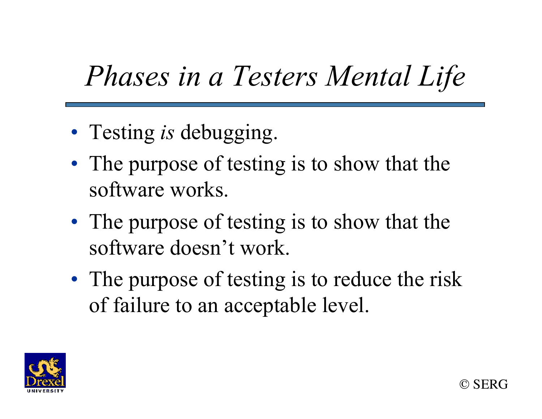## *Phases in a Testers Mental Life*

- Testing *is* debugging.
- The purpose of testing is to show that the software works.
- The purpose of testing is to show that the software doesn't work.
- The purpose of testing is to reduce the risk of failure to an acceptable level.

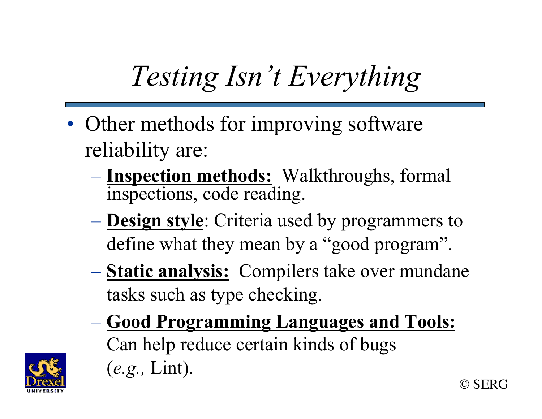# *Testing Isn't Everything*

- Other methods for improving software reliability are:
	- **Inspection methods:** Walkthroughs, formal inspections, code reading.
	- **Design style**: Criteria used by programmers to define what they mean by a "good program".
	- **Static analysis:** Compilers take over mundane tasks such as type checking.
	- © SERG – **Good Programming Languages and Tools:** Can help reduce certain kinds of bugs (*e.g.,* Lint).

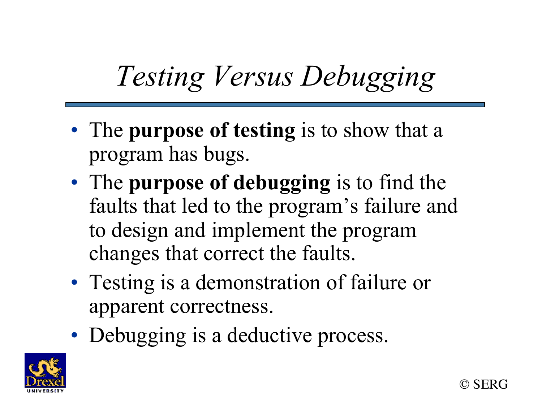# *Testing Versus Debugging*

- The **purpose of testing** is to show that a program has bugs.
- The **purpose of debugging** is to find the faults that led to the program's failure and to design and implement the program changes that correct the faults.
- Testing is a demonstration of failure or apparent correctness.
- Debugging is a deductive process.



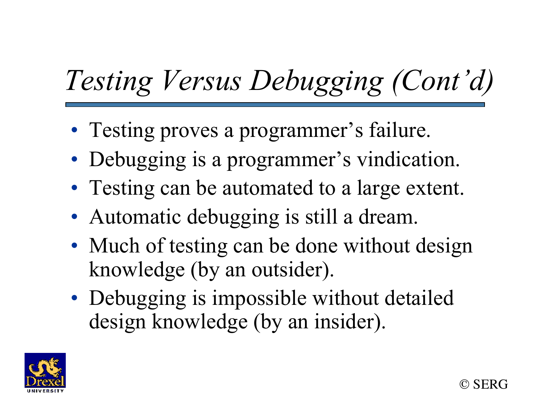# *Testing Versus Debugging (Cont'd)*

- Testing proves a programmer's failure.
- Debugging is a programmer's vindication.
- Testing can be automated to a large extent.
- Automatic debugging is still a dream.
- Much of testing can be done without design knowledge (by an outsider).
- Debugging is impossible without detailed design knowledge (by an insider).

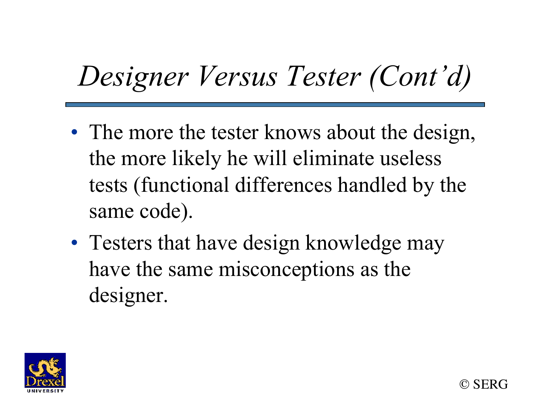# *Designer Versus Tester (Cont'd)*

- The more the tester knows about the design, the more likely he will eliminate useless tests (functional differences handled by the same code).
- Testers that have design knowledge may have the same misconceptions as the designer.

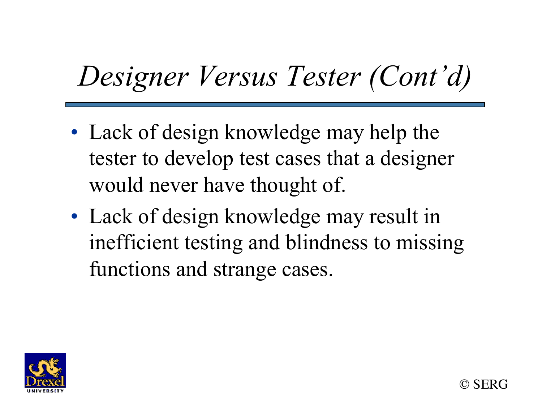# *Designer Versus Tester (Cont'd)*

- Lack of design knowledge may help the tester to develop test cases that a designer would never have thought of.
- Lack of design knowledge may result in inefficient testing and blindness to missing functions and strange cases.

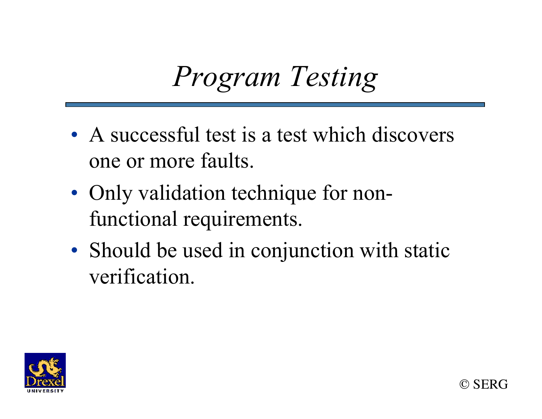# *Program Testing*

- A successful test is a test which discovers one or more faults.
- Only validation technique for nonfunctional requirements.
- Should be used in conjunction with static verification.

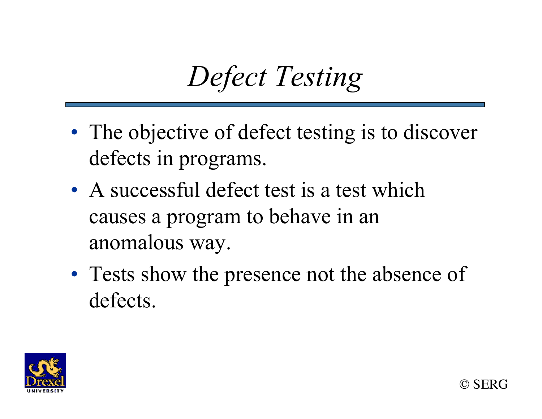# *Defect Testing*

- The objective of defect testing is to discover defects in programs.
- A successful defect test is a test which causes a program to behave in an anomalous way.
- Tests show the presence not the absence of defects.

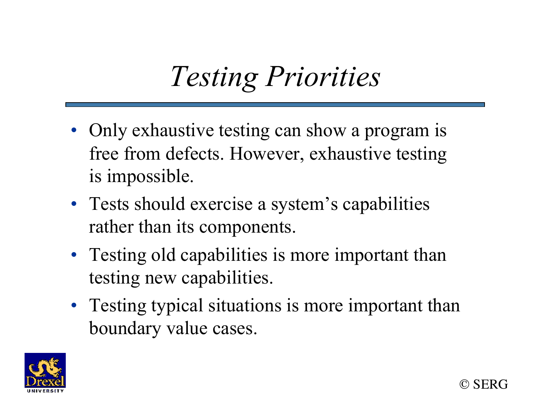## *Testing Priorities*

- Only exhaustive testing can show a program is free from defects. However, exhaustive testing is impossible.
- Tests should exercise a system's capabilities rather than its components.
- Testing old capabilities is more important than testing new capabilities.
- Testing typical situations is more important than boundary value cases.

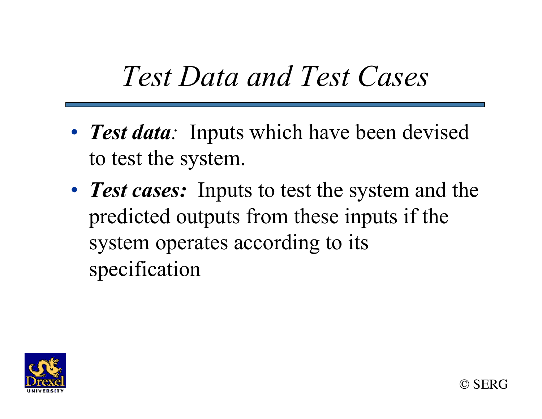### *Test Data and Test Cases*

- *Test data*: Inputs which have been devised to test the system.
- **Test cases:** Inputs to test the system and the predicted outputs from these inputs if the system operates according to its specification

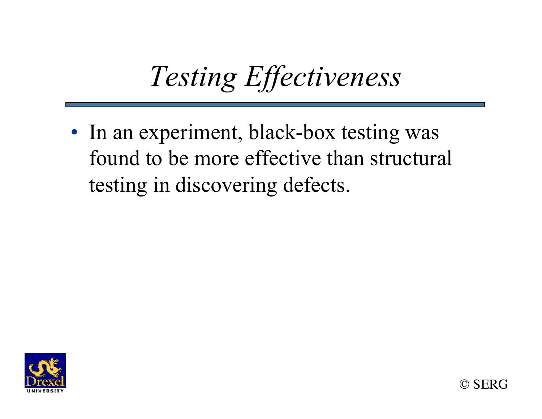# *Testing Effectiveness*

• In an experiment, black-box testing was found to be more effective than structural testing in discovering defects.



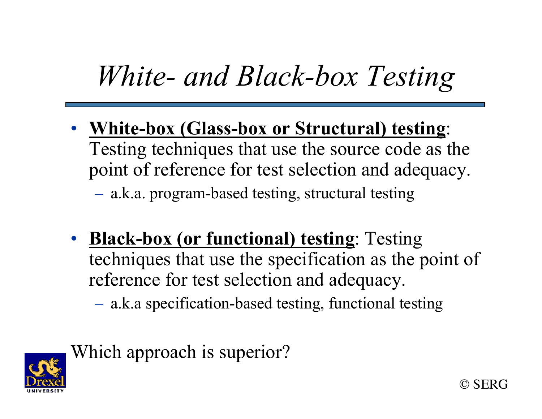## *White- and Black-box Testing*

• **White-box (Glass-box or Structural) testing**: Testing techniques that use the source code as the point of reference for test selection and adequacy.

– a.k.a. program-based testing, structural testing

• **Black-box (or functional) testing**: Testing techniques that use the specification as the point of reference for test selection and adequacy.

– a.k.a specification-based testing, functional testing



Which approach is superior?

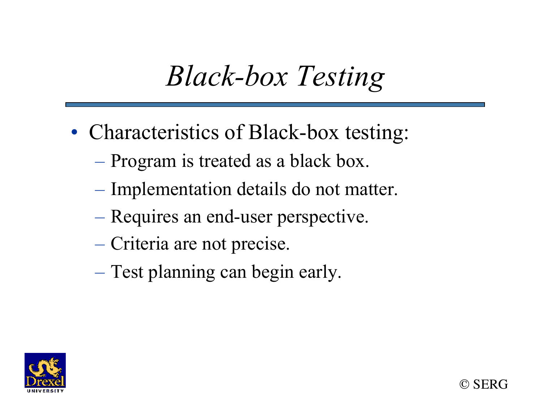## *Black-box Testing*

- Characteristics of Black-box testing:
	- Program is treated as a black box.
	- Implementation details do not matter.
	- Requires an end-user perspective.
	- Criteria are not precise.
	- Test planning can begin early.

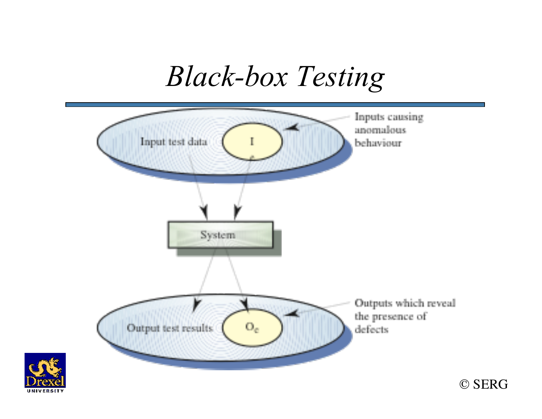*Black-box Testing* 



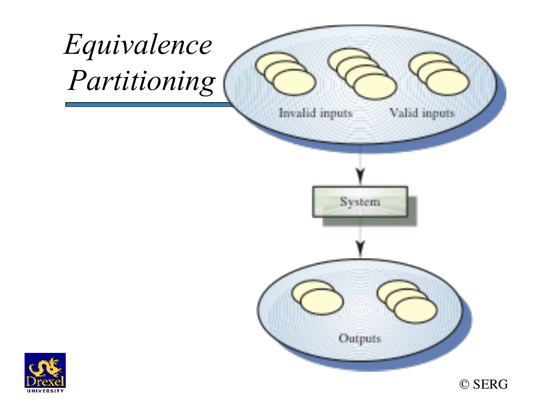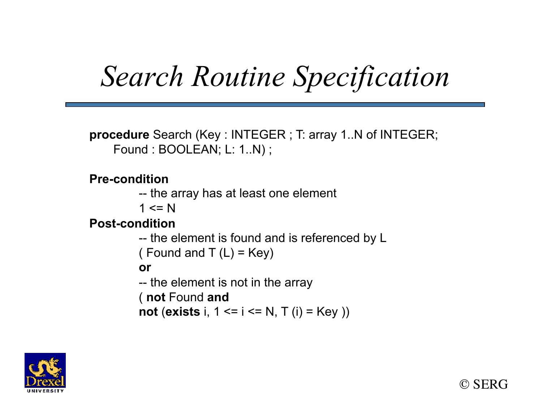# *Search Routine Specification*

**procedure** Search (Key : INTEGER ; T: array 1..N of INTEGER; Found : BOOLEAN; L: 1..N);

#### **Pre-condition**

- -- the array has at least one element
- $1 \leq N$

#### **Post-condition**

```
-- the element is found and is referenced by L 
( Found and T(L) = Key)
or 
-- the element is not in the array 
( not Found and
 not (exists i, 1 <= i <= N, T (i) = Key ))
```


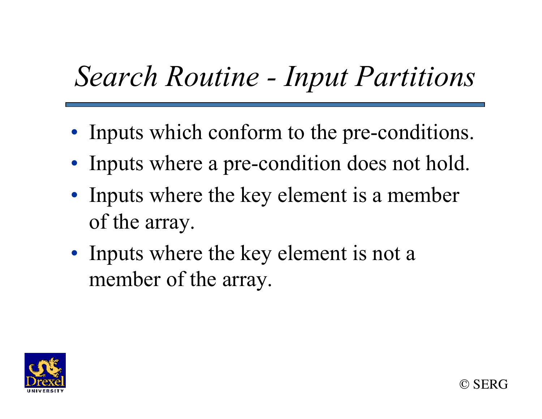# *Search Routine - Input Partitions*

- Inputs which conform to the pre-conditions.
- Inputs where a pre-condition does not hold.
- Inputs where the key element is a member of the array.
- Inputs where the key element is not a member of the array.

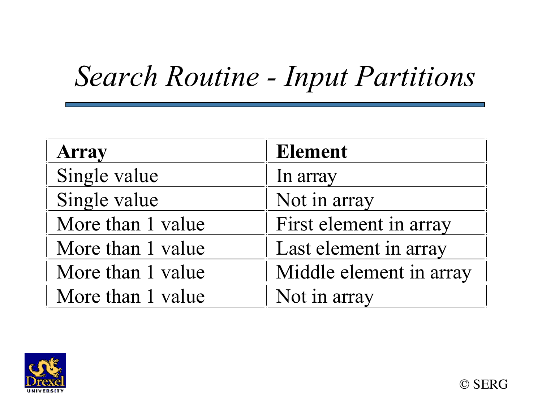## *Search Routine - Input Partitions*

| <b>Array</b>      | <b>Element</b>          |  |
|-------------------|-------------------------|--|
| Single value      | In array                |  |
| Single value      | Not in array            |  |
| More than 1 value | First element in array  |  |
| More than 1 value | Last element in array   |  |
| More than 1 value | Middle element in array |  |
| More than 1 value | Not in array            |  |

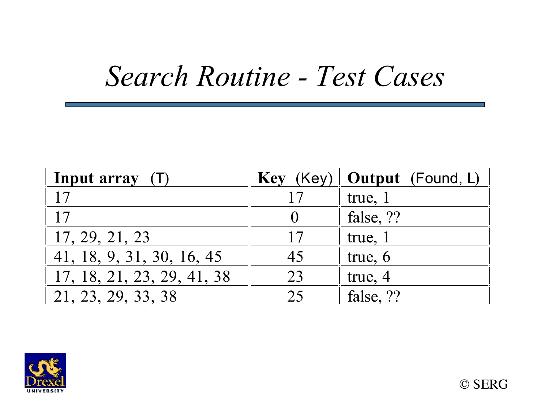#### *Search Routine - Test Cases*

| Input array (T)            |    | Key (Key)   Output (Found, L) |
|----------------------------|----|-------------------------------|
|                            |    | true, 1                       |
| 17                         |    | false, ??                     |
| 17, 29, 21, 23             | 17 | true, 1                       |
| 41, 18, 9, 31, 30, 16, 45  | 45 | true, 6                       |
| 17, 18, 21, 23, 29, 41, 38 | 23 | true, 4                       |
| 21, 23, 29, 33, 38         | 25 | false, ??                     |

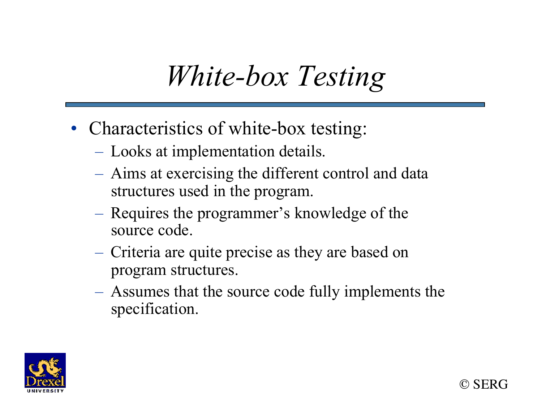## *White-box Testing*

- Characteristics of white-box testing:
	- Looks at implementation details.
	- Aims at exercising the different control and data structures used in the program.
	- Requires the programmer's knowledge of the source code.
	- Criteria are quite precise as they are based on program structures.
	- Assumes that the source code fully implements the specification.

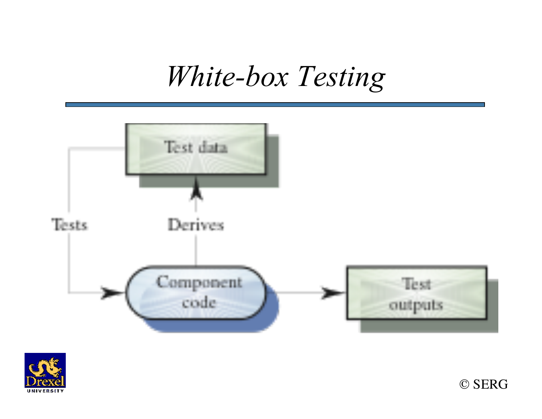#### *White-box Testing*





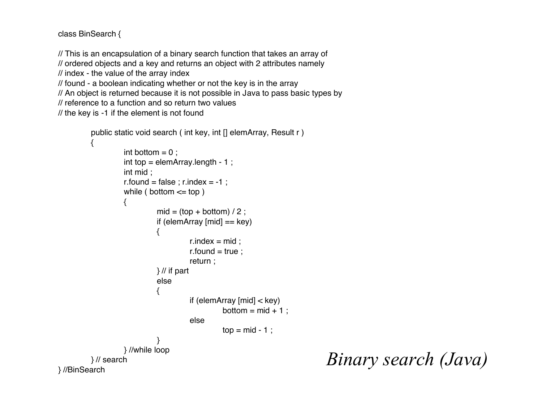```
class BinSearch {
```
// This is an encapsulation of a binary search function that takes an array of

// ordered objects and a key and returns an object with 2 attributes namely

// index - the value of the array index

```
// found - a boolean indicating whether or not the key is in the array
```
// An object is returned because it is not possible in Java to pass basic types by

```
// reference to a function and so return two values
```

```
// the key is -1 if the element is not found
```

```
public static void search ( int key, int [] elemArray, Result r )
          {
                   int bottom = 0 ;
                   int top = elemArray.length - 1 ;
                   int mid ;
                   r.found = false ; r.index = -1 ;
                   while ( bottom \le top ){
                             mid = (top + bottom) / 2;
                            if (elemArray [mid] == key){
                                      r.index = mid;r.found = true ;
                                      return ;
                            } // if part
                             else
                            {
                                      if (elemArray [mid] < key)
                                                bottom = mid + 1 ;
                                      else
                                                top = mid - 1;
                            }
                   } //while loop
         } // search
} //BinSearch
```
*Binary search (Java)*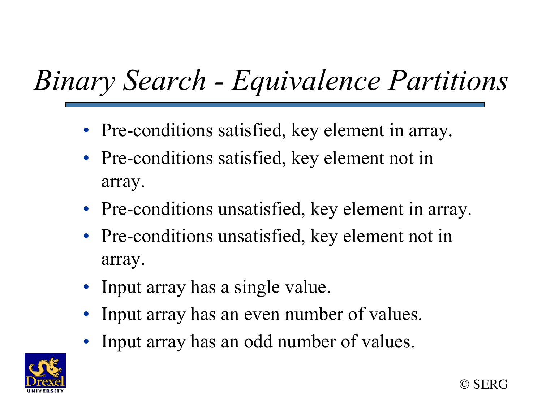# *Binary Search - Equivalence Partitions*

- Pre-conditions satisfied, key element in array.
- Pre-conditions satisfied, key element not in array.
- Pre-conditions unsatisfied, key element in array.
- Pre-conditions unsatisfied, key element not in array.
- Input array has a single value.
- Input array has an even number of values.
- Input array has an odd number of values.

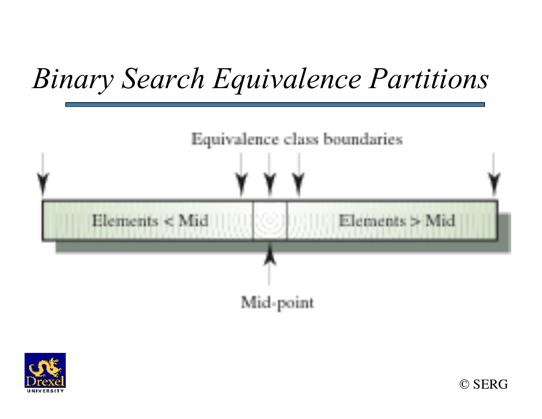## *Binary Search Equivalence Partitions*





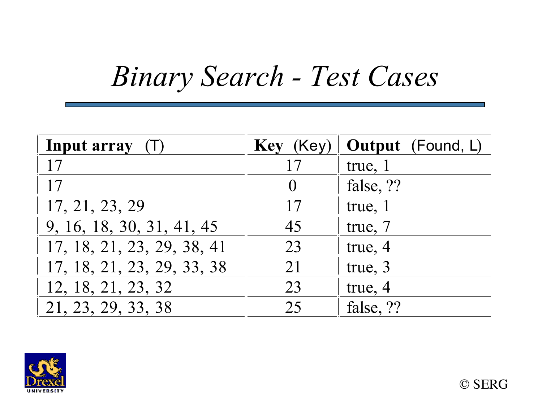### *Binary Search - Test Cases*

| Input array $(T)$          | Key (Key) | <b>Output</b> (Found, L) |
|----------------------------|-----------|--------------------------|
| 17                         | 17        | true, 1                  |
| 17                         |           | false, ??                |
| 17, 21, 23, 29             | 17        | true, 1                  |
| 9, 16, 18, 30, 31, 41, 45  | 45        | true, 7                  |
| 17, 18, 21, 23, 29, 38, 41 | 23        | true, 4                  |
| 17, 18, 21, 23, 29, 33, 38 | 21        | true, 3                  |
| 12, 18, 21, 23, 32         | 23        | true, 4                  |
| 21, 23, 29, 33, 38         | 25        | false, ??                |

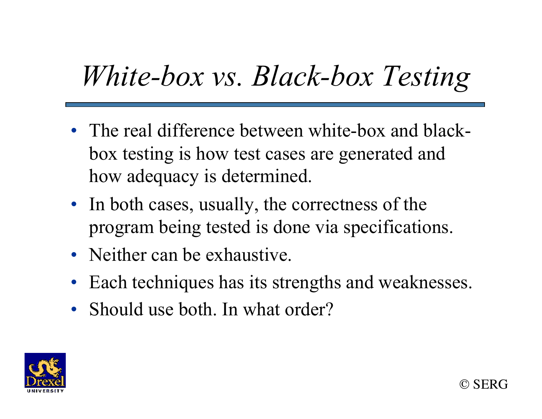## *White-box vs. Black-box Testing*

- The real difference between white-box and blackbox testing is how test cases are generated and how adequacy is determined.
- In both cases, usually, the correctness of the program being tested is done via specifications.
- Neither can be exhaustive.
- Each techniques has its strengths and weaknesses.
- Should use both. In what order?

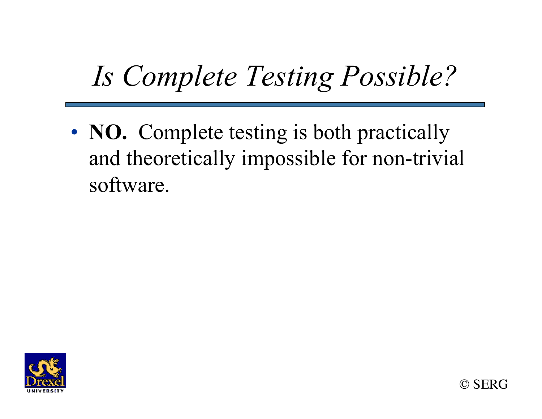## *Is Complete Testing Possible?*

• **NO.** Complete testing is both practically and theoretically impossible for non-trivial software.



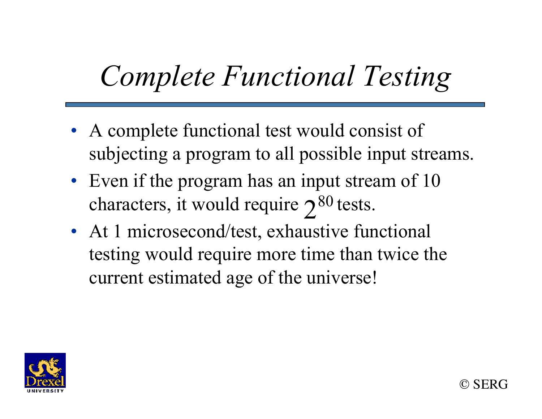## *Complete Functional Testing*

- A complete functional test would consist of subjecting a program to all possible input streams.
- Even if the program has an input stream of 10 characters, it would require  $2^{80}$  tests.
- At 1 microsecond/test, exhaustive functional testing would require more time than twice the current estimated age of the universe!

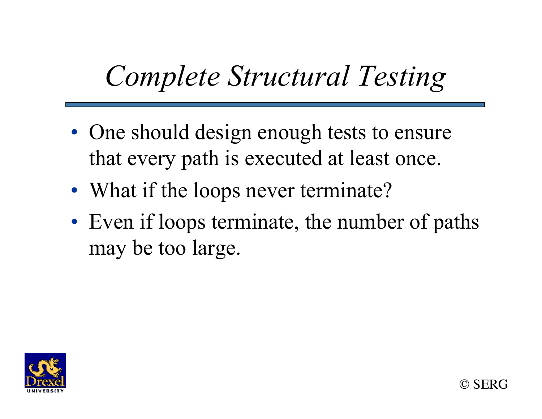## *Complete Structural Testing*

- One should design enough tests to ensure that every path is executed at least once.
- What if the loops never terminate?
- Even if loops terminate, the number of paths may be too large.

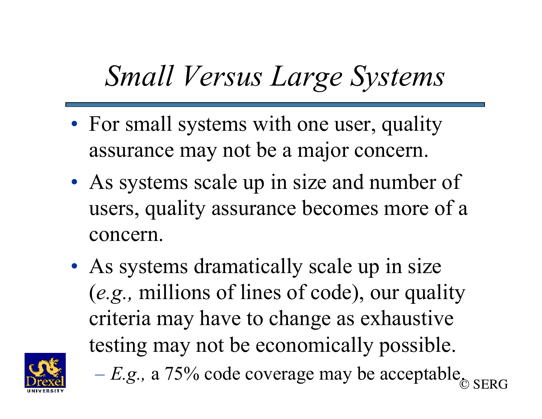### *Small Versus Large Systems*

- For small systems with one user, quality assurance may not be a major concern.
- As systems scale up in size and number of users, quality assurance becomes more of a concern.
- As systems dramatically scale up in size (*e.g.,* millions of lines of code), our quality criteria may have to change as exhaustive testing may not be economically possible.



© SERG  $-E.g., a 75\%$  code coverage may be acceptable.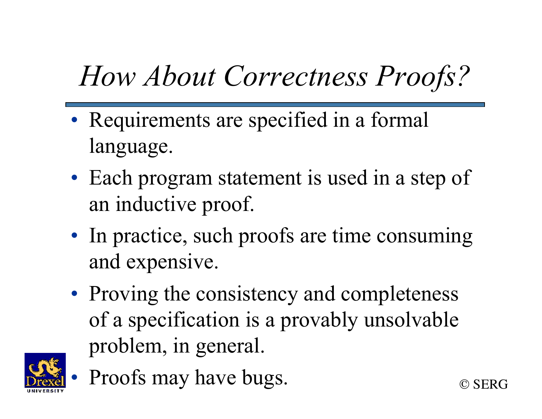# *How About Correctness Proofs?*

- Requirements are specified in a formal language.
- Each program statement is used in a step of an inductive proof.
- In practice, such proofs are time consuming and expensive.
- Proving the consistency and completeness of a specification is a provably unsolvable problem, in general.



Proofs may have bugs.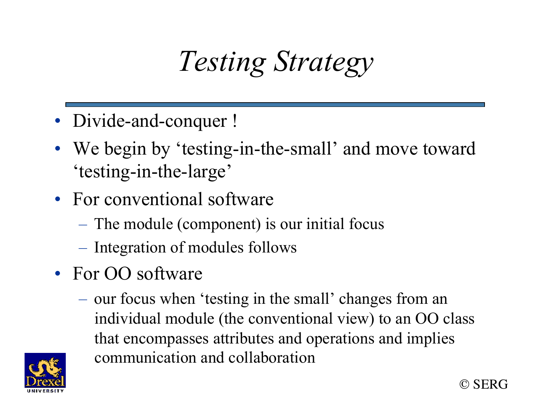## *Testing Strategy*

- Divide-and-conquer !
- We begin by 'testing-in-the-small' and move toward 'testing-in-the-large'
- For conventional software
	- The module (component) is our initial focus
	- Integration of modules follows
- For OO software
	- our focus when 'testing in the small' changes from an individual module (the conventional view) to an OO class that encompasses attributes and operations and implies communication and collaboration



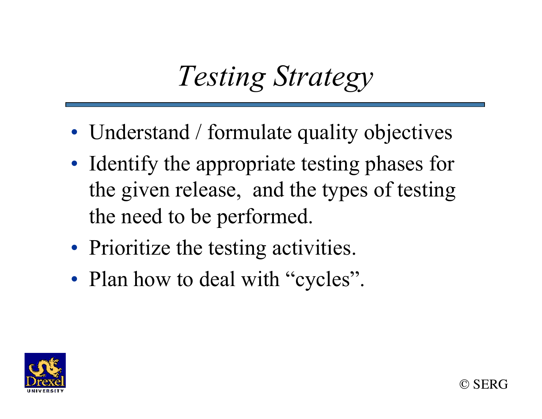## *Testing Strategy*

- Understand / formulate quality objectives
- Identify the appropriate testing phases for the given release, and the types of testing the need to be performed.
- Prioritize the testing activities.
- Plan how to deal with "cycles".

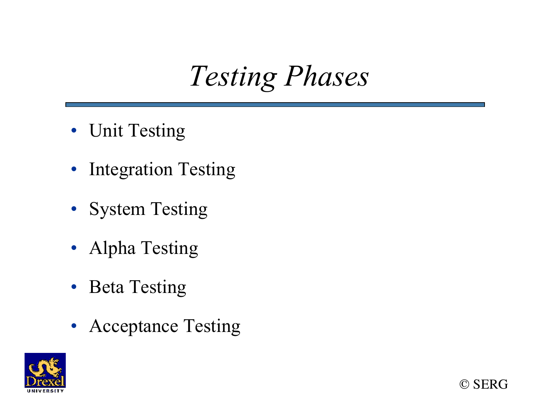*Testing Phases* 

- Unit Testing
- Integration Testing
- System Testing
- Alpha Testing
- Beta Testing
- Acceptance Testing



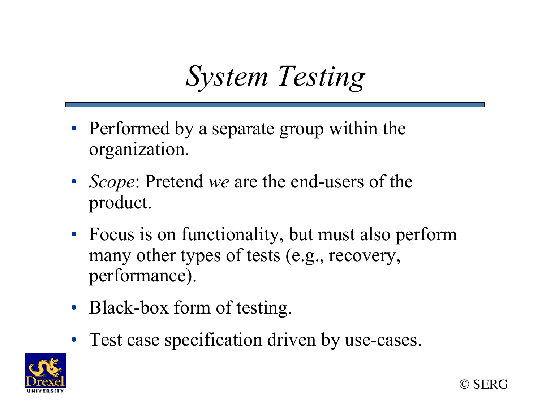#### *System Testing*

- Performed by a separate group within the organization.
- *Scope*: Pretend *we* are the end-users of the product.
- Focus is on functionality, but must also perform many other types of tests (e.g., recovery, performance).
- Black-box form of testing.
- Test case specification driven by use-cases.



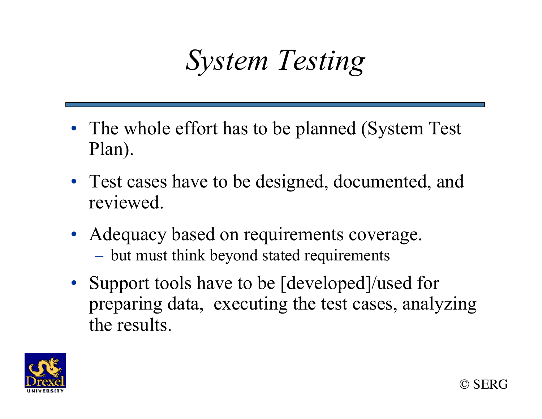## *System Testing*

- The whole effort has to be planned (System Test) Plan).
- Test cases have to be designed, documented, and reviewed.
- Adequacy based on requirements coverage.
	- but must think beyond stated requirements
- Support tools have to be [developed]/used for preparing data, executing the test cases, analyzing the results.

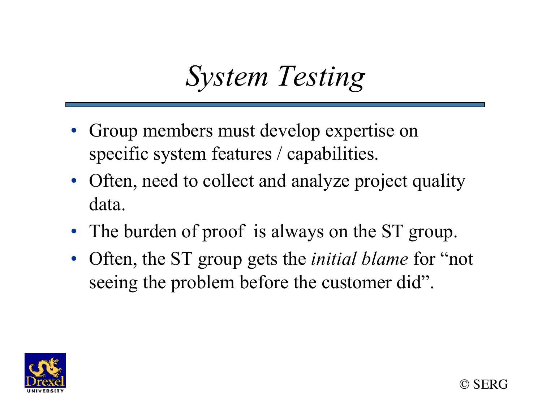#### *System Testing*

- Group members must develop expertise on specific system features / capabilities.
- Often, need to collect and analyze project quality data.
- The burden of proof is always on the ST group.
- Often, the ST group gets the *initial blame* for "not seeing the problem before the customer did".

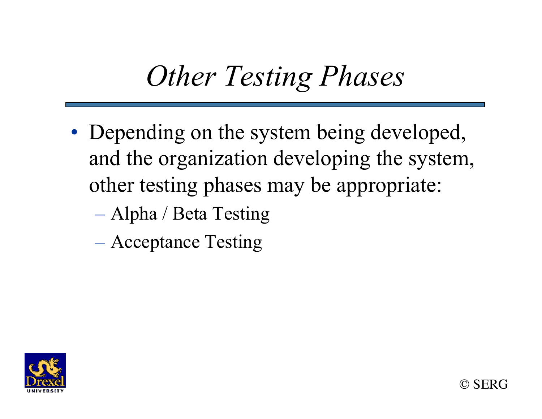## *Other Testing Phases*

- Depending on the system being developed, and the organization developing the system, other testing phases may be appropriate:
	- Alpha / Beta Testing
	- Acceptance Testing

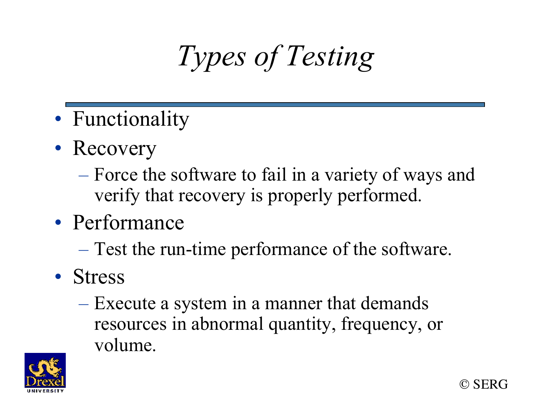# *Types of Testing*

- Functionality
- Recovery
	- Force the software to fail in a variety of ways and verify that recovery is properly performed.
- Performance
	- Test the run-time performance of the software.
- Stress
	- Execute a system in a manner that demands resources in abnormal quantity, frequency, or volume.



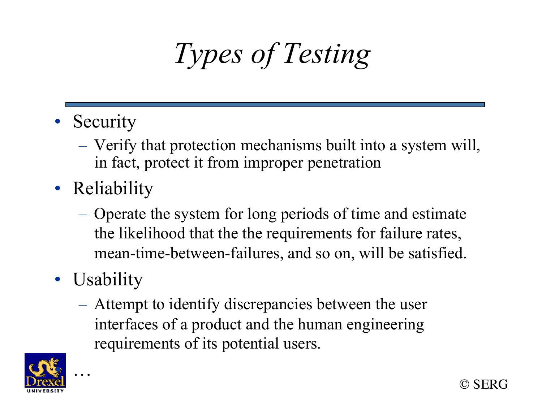# *Types of Testing*

- Security
	- Verify that protection mechanisms built into a system will, in fact, protect it from improper penetration
- Reliability
	- Operate the system for long periods of time and estimate the likelihood that the the requirements for failure rates, mean-time-between-failures, and so on, will be satisfied.
- Usability
	- Attempt to identify discrepancies between the user interfaces of a product and the human engineering requirements of its potential users.